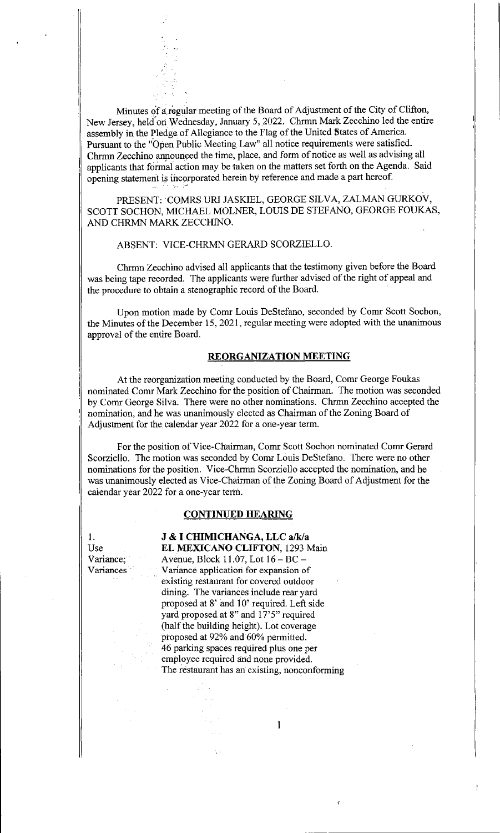Minutes of a,regular meeting of the Board of Adjustment of the City of Clifton, New Jersey, held on Wednesday, January 5, 2022. Chrmn Mark Zecchino led the entire assembly in the Pledge of Allegiance to the Flag of the United States of America. Pursuant to the "Open Public Meeting Law" all notice requirements were satisfied. Chrmn Zecchino announced the time, place, and form of notice as well as advising all applicants that formal action may be taken on the matters set forth on the Agenda. Said opening statement is incorporated herein by reference and made a part hereof.

PRESENT: COMRS URI JASKIEL, GEORGE SILVA, ZALMAN GURKOV, SCOTT SOCHON, MICHAEL MOLNER, LOUIS DE STEFANO, GEORGE FOUKAS, AND CHRMN MARK ZECCHINO.

ABSENT: VICE-CHRMN GERARD SCORZIELLO.

Chrmn Zecchino advised all applicants that the testimony given before the Board was being tape recorded. The applicants were further advised of the right of appeal and the procedure to obtain a stenographic record of the Board.

Upon motion made by Comr Louis DeStefano, seconded by Comr Scott Sochon, the Minutes of the December 15, 2021, regular meeting were adopted with the unanimous approval of the entire Board.

## REORGANIZATION MEETING

At the reorganization meeting conducted by the Board, Comr George Foukas nominated Comr Mark Zecchino for the position of Chairman. The motion was seconded by Comr George Silva. There were no other nominations. Chrmn Zecchino accepted the nomination, and he was unanimously elected as Chairman of the Zoning Board of Adjustment for the calendar year 2022 for a one-year term.

For the position of Vice-Chairman, Comr Scott Sochon nominated Comr Gerard Scorziello. The motion was seconded by Comr Louis DeStefano. There were no other nominations for the position. Vice-Chrmn Scorziello accepted the nomination, and he was unanimously elected as Vice-Chairman of the Zoning Board of Adjustment for the calendar year 2022 for a one-year term.

### CONTINUED HEARING

1. **J & I CHIMICHANGA, LLC a/k/a**<br>Use **EL MEXICANO CLIFTON**. 1293 M EL MEXICANO CLIFTON, 1293 Main Variance; Avenue, Block 11.07, Lot  $16 - BC -$ <br>Variances Variance application for expansion of Variance application for expansion of existing restaurant for covered outdoor dining. The variances include rear yard proposed at 8' and 10' required. Left side yard proposed at 8" and 17'5" required • (half the building height). Lot coverage • proposed at 92% and 60% permitted. • 46 parking spaces required plus one per employee required and none provided. The restaurant has an existing, nonconforming

 $\hat{A}^{\dagger}$  or

1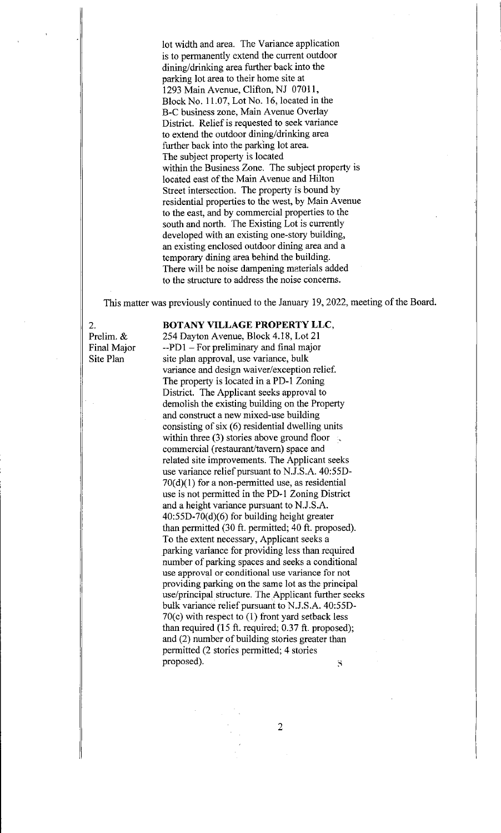lot width and area. The Variance application is to permanently extend the current outdoor dining/drinking area further back into the parking lot area to their home site at 1293 Main Avenue, Clifton, NJ 07011, Block No. 11.07, Lot No. 16, located in the B-C business zone, Main Avenue Overlay District. Relief is requested to seek variance to extend the outdoor dining/drinking area further back into the parking lot area. The subject property is located within the Business Zone. The subject property is located east of the Main Avenue and Hilton Street intersection. The property is bound by residential properties to the west, by Main Avenue to the east, and by commercial properties to the south and north. The Existing Lot is currently developed with an existing one-story building, an existing enclosed outdoor dining area and a temporary dining area behind the building. There will be noise dampening materials added to the structure to address the noise concerns.

This matter was previously continued to the January 19, 2022, meeting of the Board.

## 2. **BOTANY VILLAGE PROPERTY LLC,** Prelim. & 254 Dayton Avenue, Block 4.18, Lot 21

Final Major  $-PD1 - For preliminary and final major$ Site Plan site plan approval, use variance, bulk variance and design waiver/exception relief. The property is located in a PD-1 Zoning District. The Applicant seeks approval to demolish the existing building on the Property and construct a new mixed-use building consisting of six (6) residential dwelling units within three (3) stories above ground floor  $\infty$ commercial (restaurant/tavern) space and related site improvements. The Applicant seeks use variance relief pursuant to N.J.S.A. 40:55D-70(d)(1) for a non-permitted use, as residential use is not permitted in the PD-1 Zoning District and a height variance pursuant to N.J.S.A. 40:55D-70(d)(6) for building height greater than permitted (30 ft. permitted; 40 ft. proposed). To the extent necessary, Applicant seeks a parking variance for providing less than required number of parking spaces and seeks a conditional use approval or conditional use variance for not providing parking on the same lot as the principal use/principal structure. The Applicant further seeks bulk variance relief pursuant to N.J.S.A. 40:55D-70(c) with respect to (1) front yard setback less than required (15 ft. required; 0.37 ft. proposed); and (2) number of building stories greater than permitted (2 stories permitted; 4 stories proposed).  $\Omega$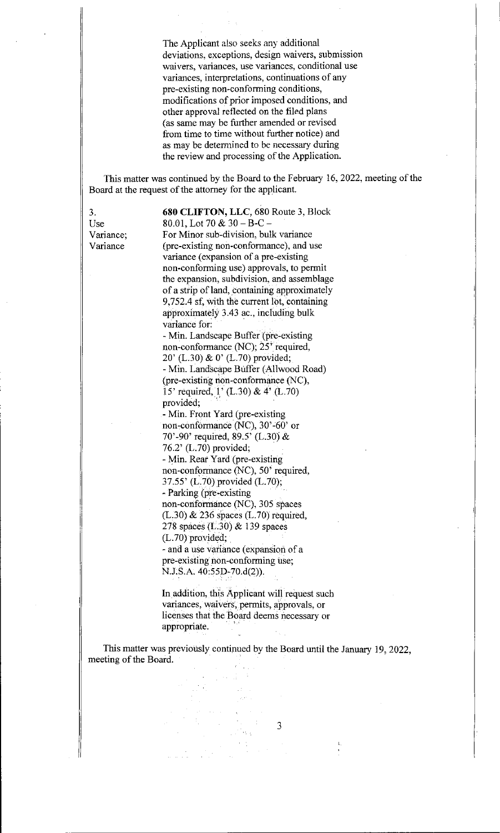The Applicant also seeks any additional deviations, exceptions, design waivers, submission waivers, variances, use variances, conditional use variances, interpretations, continuations of any pre-existing non-conforming conditions, modifications of prior imposed conditions, and other approval reflected on the filed plans (as same may be further amended or revised from time to time without further notice) and as may be determined to he necessary during the review and processing of the Application.

This matter was continued by the Board to the February 16, 2022, meeting of the Board at the request of the attorney for the applicant.

3. 680 CLIFTON, LLC, 680 Route 3, Block<br>Use 80.01, Lot 70 & 30 - B-C -80.01, Lot 70  $& 30 - B - C -$ Variance; For Minor sub-division, bulk variance<br>Variance (pre-existing non-conformance), and u (pre-existing non-conformance), and use variance (expansion of a pre-existing non-conforming use) approvals, to permit the expansion, subdivision, and assemblage of a strip of land, containing approximately 9,752.4 sf, with the current lot, containing approximately 3.43 ac., including bulk variance for: - Min. Landscape Buffer

non-conformance (NC); 25' required, 20' (L.30) & 0' (L.70) provided; - Min. Landscape Buffer (Allwood Road) (pre-existing non-conformance (NC), 15' required, 1' (L30) & 4' (L.70) provided;

- Min. Front Yard (pre-existing non-conformance (NC), 30'-60' or 70'-90' required, 89.5' (L.30) & 76.2'(L.70) provided; - Min. Rear Yard (pre-existing non-conformance (NC), 50' required, 37.55' (L.70) provided (L.70); - Parking (pre-existing non-conformance (NC), 305 spaces (L30) & 236 spaces (L.70) required, 278 spaces (L.30)  $\&$  139 spaces (L.70) provided; - and a use variance (expansion of a pre-existing non-conforming use; N.J.S.A. 40:55D-70.d(2)).

In addition, this Applicant will request such variances, waivers, permits, approvals, or licenses that the Board deems necessary or appropriate.

This matter was previously continued by the Board until the January 19, 2022, meeting of the Board.

 $\sqrt{2\pi}m_{\rm A}$ 

 $\overline{3}$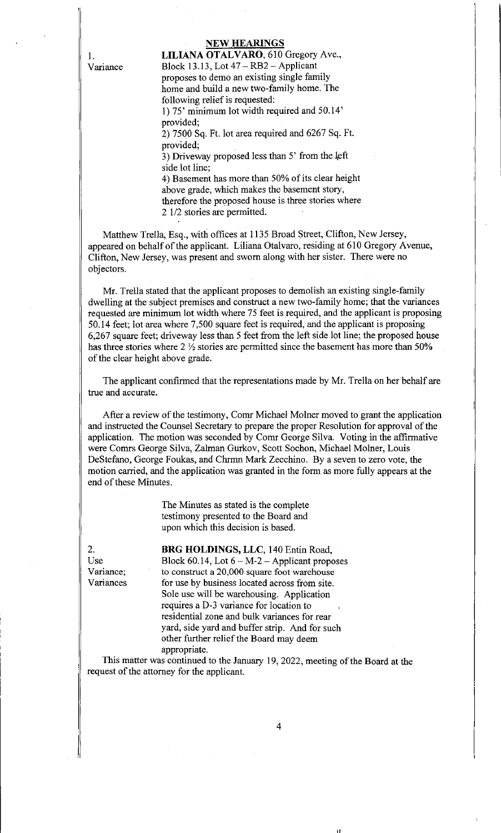# NEW HEARINGS

1. **LILIANA OTALVARO**, 610 Gregory Ave., Variance Block 13.13, Lot 47— RB2 — Applicant proposes to demo an existing single family home and build a new two-family home. The following relief is requested: 1) 75' minimum lot width required and 50.14' provided; 2) 7500 Sq. Ft. lot area required and 6267 Sq. Ft. provided; 3) Driveway proposed less than  $5'$  from the left side lot line; 4) Basement has more than 50% of its clear height above grade, which makes the basement story, therefore the proposed house is three stories where

2 1/2 stories are permitted.

Matthew Trella, Esq., with offices at 1135 Broad Street, Clifton, New Jersey, appeared on behalf of the applicant. Liliana Otalvaro, residing at 610 Gregory Avenue, Clifton, New Jersey, was present and sworn along with her sister. There were no objectors.

Mr. Trella stated that the applicant proposes to demolish an existing single-family dwelling at the subject premises and construct a new two-family home; that the variances requested are minimum lot width where 75 feet is required, and the applicant is proposing 50.14 feet; lot area where 7,500 square feet is required, and the applicant is proposing 6,267 square feet; driveway less than 5 feet from the left side lot line; the proposed house has three stories where  $2 \frac{1}{2}$  stories are permitted since the basement has more than 50% of the clear height above grade.

The applicant confirmed that the representations made by Mr. Trella on her behalf are true and accurate.

After a review of the testimony, Comr Michael Molner moved to grant the application and instructed the Counsel Secretary to prepare the proper Resolution for approval of the application. The motion was seconded by Comr George Silva. Voting in the affirmative were Comrs George Silva, Zalman Gurkov, Scott Sochon, Michael Molner, Louis DeStefano, George Foukas, and Chrmn Mark Zecchino. By a seven to zero vote, the motion carried, and the application was granted in the form as more fully appears at the end of these Minutes.

> The Minutes as stated is the complete testimony presented to the Board and upon which this decision is based.

2. **BRG HOLDINGS, LLC**, 140 Entin Road, Use Block 60.14, Lot 6 – M-2 – Applicant proposes Variance; to construct a 20,000 square foot warehouse Variances for use by business located across from site. Sole use will be warehousing. Application requires a D-3 variance for location to residential zone and bulk variances for rear yard, side yard and buffer strip. And for such other further relief the Board may deem appropriate.

This matter was continued to the January 19, 2022, meeting of the Board at the request of the attorney for the applicant.

I'-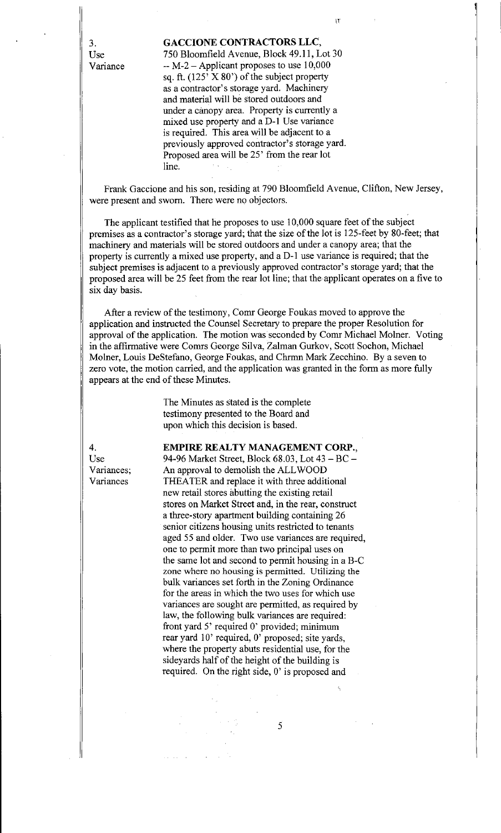3. GACCIONE CONTRACTORS LLC,

Use 750 Bloomfield Avenue, Block 49.11, Lot 30 Variance  $-M-2$  – Applicant proposes to use 10,000 sq. ft. (125' X 80') of the subject property as a contractor's storage yard. Machinery and material will be stored outdoors and under a canopy area. Property is currently a mixed use property and a D-1 Use variance is required. This area will be adjacent to a previously approved contractor's storage yard. Proposed area will be 25' from the rear lot line.

Frank Gaccione and his son, residing at 790 Bloomfield Avenue, Clifton, New Jersey, were present and sworn. There were no objectors.

The applicant testified that he proposes to use 10,000 square feet of the subject premises as a contractor's storage yard; that the size of the lot is 125-feet by 80-feet; that machinery and materials will be stored outdoors and under a canopy area; that the property is currently a mixed use property, and a D-1 use variance is required; that the subject premises is adjacent to a previously approved contractor's storage yard; that the proposed area will be 25 feet from the rear lot line; that the applicant operates on a five to six day basis.

After a review of the testimony, Comr George Foukas moved to approve the application and instructed the Counsel Secretary to prepare the proper Resolution for approval of the application. The motion was seconded by Comr Michael Molner. Voting in the affirmative were Comrs George Silva, Zalman Gurkov, Scott Sochon, Michael Molner, Louis DeStefano, George Foukas, and Cbrmn Mark Zecchino. By a seven to zero vote, the motion carried, and the application was granted in the form as more fully appears at the end of these Minutes.

> The Minutes as stated is the complete testimony presented to the Board and upon which this decision is based.

4. EMPIRE REALTY MANAGEMENT CORP.,

Use 94-96 Market Street, Block 68.03, Lot 43 — BC — Variances; An approval to demolish the ALL WOOD Variances THEATER and replace it with three additional new retail stores abutting the existing retail stores on Market Street and, in the rear, construct a three-story apartment building containing 26 senior citizens housing units restricted to tenants aged 55 and older. Two use variances are required, one to permit more than two principal uses on the same lot and second to permit housing in a B-C zone where no housing is permitted. Utilizing the bulk variances set forth in the Zoning Ordinance for the areas in which the two uses for which use variances are sought are permitted, as required by law, the following bulk variances are required: front yard 5' required 0' provided; minimum rear yard 10' required, 0' proposed; site yards, where the property abuts residential use, for the sideyards half of the height of the building is required. On the right side, 0' is proposed and

U"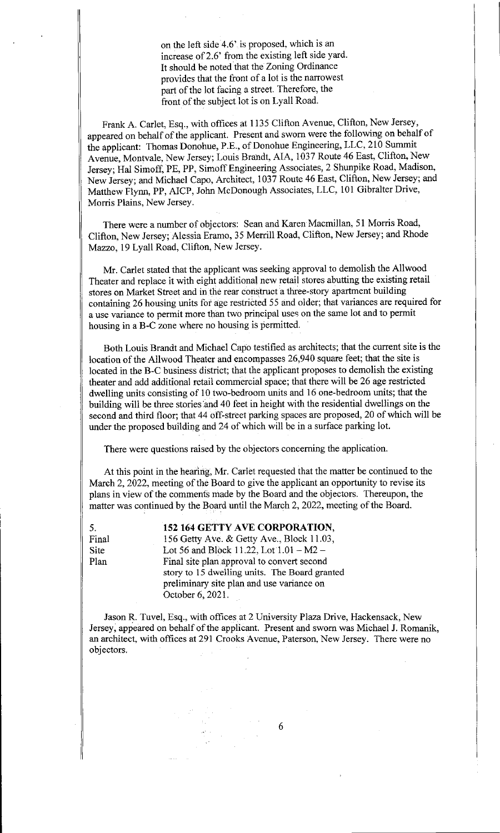on the left side  $4.6'$  is proposed, which is an increase of 2.6' from the existing left side yard. It should be noted that the Zoning Ordinance provides that the front of a lot is the narrowest part of the lot facing a street. Therefore, the front of the subject lot is on Lyall Road.

Frank A. Carlet, Esq., with offices at 1135 Clifton Avenue, Clifton, New Jersey, appeared on behalf of the applicant. Present and sworn were the following on behalf of the applicant: Thomas Donohue, P.E., of Donohue Engineering, LLC, 210 Summit Avenue, Montvale, New Jersey; Louis Brandt, AIA, 1037 Route 46 East, Clifton, New Jersey; Hal Simoff, PE, PP, Simoff Engineering Associates, 2 Shunpike Road, Madison, New Jersey; and Michael Capo, Architect, 1037 Route 46 East, Clifton, New Jersey; and Matthew Flynn, PP, AICP, John McDonough Associates, LLC, 101 Gibralter Drive, Morris Plains, New Jersey.

There were a number of objectors: Sean and Karen Macmillan, 51 Morris Road, Clifton, New Jersey; Alessia Eramo, 35 Merrill Road, Clifton, New Jersey; and Rhode Mazzo, 19 Lyall Road, Clifton, New Jersey.

Mr. Carlet stated that the applicant was seeking approval to demolish the Allwood Theater and replace it with eight additional new retail stores abutting the existing retail stores on Market Street and in the rear construct a three-story apartment building containing 26 housing units for age restricted 55 and older; that variances are required for a use variance to permit more than two principal uses on the same lot and to permit housing in a B-C zone where no housing is permitted.

Both Louis Brandt and Michael Capo testified as architects; that the current site is the location of the Allwood Theater and encompasses 26,940 square feet; that the site is located in the B-C business district; that the applicant proposes to demolish the existing theater and add additional retail commercial space; that there will be 26 age restricted dwelling units consisting of 10 two-bedroom units and 16 one-bedroom units; that the building will be three stories and 40 feet in height with the residential dwellings on the second and third floor; that 44 off-street parking spaces are proposed, 20 of which will be under the proposed building and 24 of which will be in a surface parking lot.

There were questions raised by the objectors concerning the application.

At this point in the hearing, Mr. Carlet requested that the matter be continued to the March 2, 2022, meeting of the Board to give the applicant an opportunity to revise its plans in view of the comments made by the Board and the objectors. Thereupon, the matter was continued by the Board until the March 2, 2022, meeting of the Board.

5. 152 164 GETTY AVE CORPORATION, Final 156 Getty Ave. & Getty Ave., Block 11.03, Site Lot 56 and Block 11.22, Lot 1.01 – M2 – Plan Final site plan approval to convert second story to 15 dwelling units. The Board granted preliminary site plan and use variance on October 6, 2021.

Jason R. Tuvel, Esq., with offices at 2 University Plaza Drive, Hackensack, New Jersey, appeared on behalf of the applicant. Present and sworn was Michael J. Romanik, an architect, with offices at 291 Crooks Avenue, Paterson, New Jersey. There were no objectors.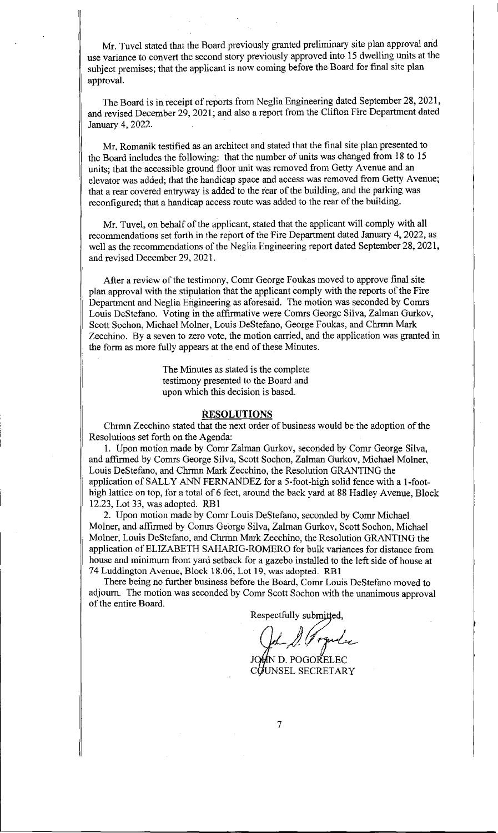Mr. Tuvel stated that the Board previously granted preliminary site plan approval and use variance to convert the second story previously approved into 15 dwelling units at the subject premises; that the applicant is now coming before the Board for final site plan approval.

The Board is in receipt of reports from Neglia Engineering dated September 28, 2021, and revised December 29, 2021; and also a report from the Clifton Fire Department dated January 4, 2022.

Mr. Romanik testified as an architect and stated that the final site plan presented to the Board includes the following: that the number of units was changed from 18 to 15 units; that the accessible ground floor unit was removed from Getty Avenue and an elevator was added; that the handicap space and access was removed from Getty Avenue; that a rear covered entryway is added to the rear of the building, and the parking was reconfigured; that a handicap access route was added to the rear of the building.

Mr. Tuvel, on behalf of the applicant, stated that the applicant will comply with all recommendations set forth in the report of the Fire Department dated January 4, 2022, as well as the recommendations of the Neglia Engineering report dated September 28, 2021, and revised December 29, 2021.

After a review of the testimony, Comr George Foukas moved to approve final site plan approval with the stipulation that the applicant comply with the reports of the Fire Department and Neglia Engineering as aforesaid. The motion was seconded by Comrs Louis DeStefano. Voting in the affirmative were Comrs George Silva, Zalman Gurkov, Scott Sochon, Michael Molner, Louis DeStefano, George Foukas, and Chrmn Mark Zecchino. By a seven to zero vote, the motion carried, and the application was granted in the form as more fully appears at the end of these Minutes.

> The Minutes as stated is the complete testimony presented to the Board and upon which this decision is based.

## **RESOLUTIONS**

Chrmn Zecchino stated that the next order of business would be the adoption of the Resolutions set forth on the Agenda:

1. Upon motion made by Comr Zalman Gurkov, seconded by Comr George Silva, and affirmed by Comrs George Silva, Scott Sochon, Zalman Gurkov, Michael Molner, Louis DeStefano, and Chrmn Mark Zecchino, the Resolution GRANTING the application of SALLY ANN FERNANDEZ for a 5-foot-high solid fence with a 1-foothigh lattice on top, for a total of 6 feet, around the back yard at 88 Hadley Avenue, Block 12.23, Lot 33, was adopted. RB 1

2. Upon motion made by Comr Louis DeStefano, seconded by Comr Michael Molner, and affirmed by Comrs George Silva, Zalman Gurkov, Scott Sochon, Michael Molner, Louis DeStefano, and Chrinn Mark Zecchino, the Resolution GRANTING the application of ELIZABETH SAHARIG-R0MER0 for bulk variances for distance from house and minimum front yard setback for a gazebo installed to the left side of house at 74 Luddington Avenue, Block 18.06, Lot 19, was adopted. RB 1

There being no further business before the Board, Comr Louis DeStefano moved to adjourn. The motion was seconded by Comr Scott Sochon with the unanimous approval of the entire Board.

Respectfully submitted,

Togela

JOMN D. POGORELEC COUNSEL SECRETARY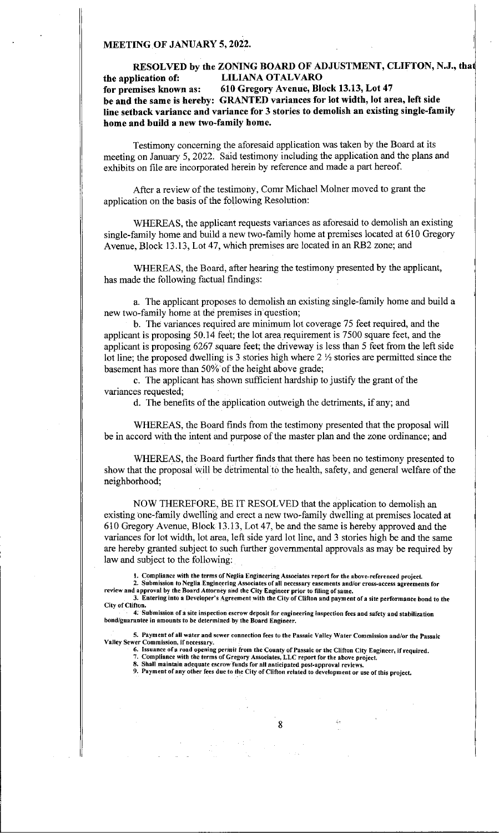#### MEETING OF JANUARY 5, 2022.

# RESOLVED by the ZONING BOARD OF ADJUSTMENT, CLIFTON, N.J., tha the application of: LILIANA OTALVARO for premises known as: 610 Gregory Avenue, Block 13.13, Lot 47 be and the same is hereby: GRANTED variances for lot width, lot area, left side line setback variance and variance for 3 stories to demolish an existing single-family home and build a new two-family home.

Testimony concerning the aforesaid application was taken by the Board at its meeting on January 5, 2022. Said testimony including the application and the plans and exhibits on file are incorporated herein by reference and made a part hereof.

After a review of the testimony, Comr Michael Molner moved to grant the application on the basis of the following Resolution:

WHEREAS, the applicant requests variances as aforesaid to demolish an existing single-family home and build a new two-family home at premises located at 610 Gregory Avenue, Block 13.13, Lot 47, which premises are located in an RB2 zone; and

WHEREAS, the Board, after hearing the testimony presented by the applicant, has made the following factual findings:

a. The applicant proposes to demolish an existing single-family home and build a new two-family home at the premises in'question;

b. The variances required are minimum lot coverage 75 feet required, and the applicant is proposing 50.14 feet; the lot area requirement is 7500 square feet, and the applicant is proposing 6267 square feet; the driveway is less than 5 feet from the left side lot line; the proposed dwelling is 3 stories high where  $2 \frac{1}{2}$  stories are permitted since the basement has more than 50% of the height above grade;

c. The applicant has shown sufficient hardship to justify the grant of the variances requested;

d. The benefits of the application outweigh the detriments, if any; and

WHEREAS, the Board finds from the testimony presented that the proposal will be in accord with the intent and purpose of the master plan and the zone ordinance; and

WHEREAS, the Board further finds that there has been no testimony presented to show that the proposal will be detrimental to the health, safety, and general welfare of the neighborhood;

NOW THEREFORE, BE IT RESOLVED that the application to demolish an existing one-family dwelling and erect a new two-family dwelling at premises located at 610 Gregory Avenue, Block 13.13, Lot 47, be and the same is hereby approved and the variances for lot width, lot area, left side yard lot line, and 3 stories high be and the same are hereby granted subject to such further governmental approvals as may be required by law and subject to the following:

1. Compliance with the terms of Neglia Engineering Associates report for the above-referenced project

2. Submission to Neglia.Engineering Associates of all necessary easements and/or cross-access agreements for review and approval by the Board Attorney and the City Engineer prior to filing of same.

3. Entering into a Developer's Agreement with the City of Clifton and payment of a site performance bond to the City of Clifton.

4: Submission of a site inspection escrow deposit for engineering inspection fees and safety and stabilization bond/guarantee in amounts to be determined-by the Board Engineer.

5. Payment of all water and sewer connection fees to the Passaic Valley Water Commission and/or the Passaic Valley Sewer Commission, if necessary.

- 6. Issuance of a road opening permit from the County of Passaic or the Clifton City Engineer, if required.
	- 7. Compliance with the terms of Gregory Associates, LLC report for the above project. S. Shall maintain adequate escrow funds for all anticipated post-approval reviews.

9. Payment of any other fees due to the City of Clifton related to development or use of this project.

8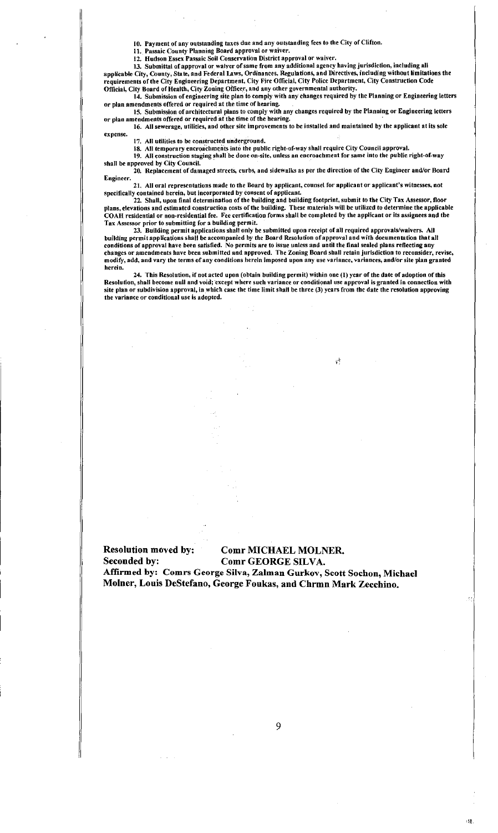JO. Payment of any outstanding taxes due and any outstanding fees to the City of Clifton.

11. Passaic County Planning Board approval or waiver.

12. Hudson Essex Passaic Soil Conservation District approval or waiver.

13. Submittal of approval or waiver of same from any additional agency having jurisdiction, including all applicable City, County, State, and Federal Laws, Ordinances. Regulations, and Directives, including without limitations the requirements of the City Engineering Department, City Fire Official, City Police Department, City Construction Code Official, City Board of Health, City Zoning Officer, and any other governmental authority.

14. Submission of engineering site plan to comply with any changes required by the Planning or Engineering letters or plan amendments offered or required at the time of hearing.

15. Submission of architectural plans to comply with any changes required by the Planning or Engineering letters or plan amendments offered or required at the time of the bearing.

16. All sewerage, utilities, and other site improvements to be installed and maintained by the applicant at its sole expense.

17. All utilities to be constructed underground.

18. All temporary encroachments into the public right-of-way shall require City Council approval.

19. All construction staging shall be done on-site, unless an encroachment for same into the public rigbt-of-way shall be approved by City Council.

20. Replacement of damaged streets, curbs, and sidewalks as per the direction of the City Engineer and/or Board Engineer.

21, All oral representations made to the Board by applicant, counsel for applicant or applicant's witnesses, not specifically contained herein, but incorporated by consent of applicant.

22. Shall, upon final determination of the building and building footprint, submit to the City Tax Assessor, floor plans, elevations and estimated construction costs of the building. These materials will be utilized to determine the applicable COAH residential or non-residential fee. Fee certification forms shall be completed by the applicant or its assignees and the Tax Assessor prior to submitting for a building permit.

23. Building permit applications shall only be submitted upon receipt of all required approvals/waivers. All building permit applications shall be accompanied by the Board Resolution ofapproval and with documentation that all conditions of approval have been satisfied. No permits are to issue unless and until the final sealed plans reflecting any changes or amendments have been submitted and approved. The Zoning Board shall retain jurisdiction to reconsider, revise, modify, add, and vary the terms of any conditions herein imposed upon any use variance, variances, and/or site plan granted herein.

24. This Resolution, if not acted upon (obtain building permit) within one (1) year of the date of adoption of this Resolution, shall become null and void; except where such variance or conditional use approval is granted in connection with site plan or subdivision approval, in which case the time limit shall be three (3) years from the date the resolution approving the variance or conditional use is adopted.

 $\sqrt{ }$ 

### Resolution moved by: Comr MICHAEL MOLNER. Seconded by: Comr GEORGE SILVA.

Affirmed by: Comrs George Silva, Zalman Gurkov, Scott Sochon, Michael Molner, Louis DeStefano, George Foukas, and Chrmn Mark Zeechino.

;e,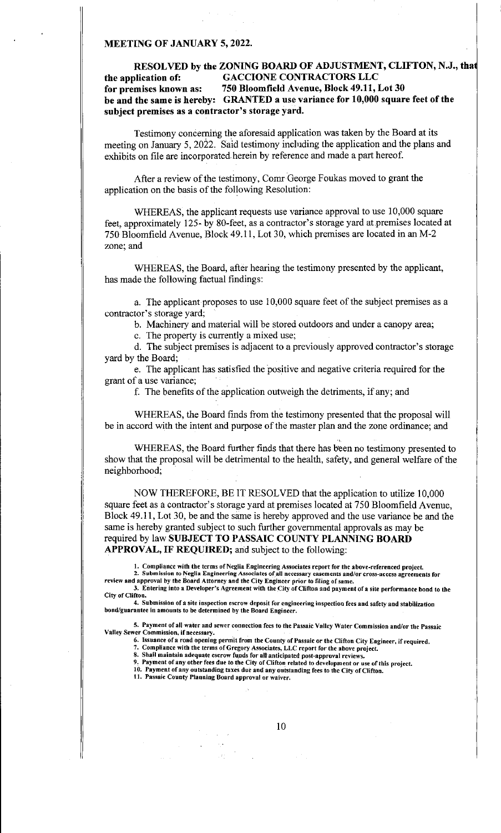#### MEETING OF JANUARY 5, 2022.

# RESOLVED by the ZONING BOARD OF ADJUSTMENT, CLIFTON, N.J., tha the application of: GACCIONE CONTRACTORS LLC for premises known as: 750 Bloomfield Avenue, Block 49.11, Lot 30 be and the same is hereby: GRANTED a use variance for 10,000 square feet of the subject premises as a contractor's storage yard.

Testimony concerning the aforesaid application was taken by the Board at its meeting on January 5, 2022. Said testimony including the application and the plans and exhibits on file are incorporated herein by reference and made a part hereof.

After a review of the testimony, Comr George Foukas moved to grant the application on the basis of the following Resolution:

WHEREAS, the applicant requests use variance approval to use 10,000 square feet, approximately 125- by 80-feet, as a contractor's storage yard at premises located at 750 Bloomfield Avenue, Block 49.11, Lot 30, which premises are located in an M-2 zone; and

WHEREAS, the Board, after hearing the testimony presented by the applicant, has made the following factual findings:

a. The applicant proposes to use 10,000 square feet of the subject premises as a contractor's storage yard;

b. Machinery and material will be stored outdoors and under a canopy area;

c. The property is currently a mixed use;

d. The subject premises is adjacent to a previously approved contractor's storage yard by the Board;

e. The applicant has satisfied the positive and negative criteria required for the grant of a use variance;

f. The benefits of the application outweigh the detriments, if any; and

WHEREAS, the Board finds from the testimony presented that the proposal will be in accord with the intent and purpose of the master plan and the zone ordinance; and

WHEREAS, the Board further finds that there has been no testimony presented to show that the proposal will be detrimental to the health, safety, and general welfare of the neighborhood;

NOW THEREFORE, BE IT RESOLVED that the application to utilize 10,000 square feet as a contractor's storage yard at premises located at 750 Bloomfield Avenue, Block 49.11, Lot 30, be and the same is hereby approved and the use variance be and the same is hereby granted subject to such further governmental approvals as may be required by law SUBJECT TO PASSAIC COUNTY PLANNING BOARD APPROVAL, IF REQUIRED; and subject to the following:

I. Compliance with the terms of Neglia Engineering Associates report for the above-referenced project.

2. Submission to Neglia Engineering Associates of all necessary easements and/or cross-access agreements for review and approval by the Board Attorney and the City Engineer prior to filing of same.

3. Entering into a Developer's Agreement with the City of Clifton and payment of a site performance bond to the City of Clifton.

4. Submission of a site inspection escrow deposit for engineering inspection fees and safety and stabilization bond/guarantee in amounts to be determined by the Board Engineer.

5. Payment of all water and sewer connection fees to the Passaic Valley Water Commission and/or the Passaic Valley Sewer Commission, if necessary.

6. Issuance of a road opening permit from the County of Passaic or the Clifton City Engineer, if required.

7. Compliance with the terms of Gregory Associates, LLC report for the above project.

S. Shall maintain adequate escrow fupds for all anticipated post-approval reviews.

9. Payment of any other fees due to the City of Clifton related to development or use of this project. 10: Payment of any outstanding taxes due and any outstanding fees to the City of Clifton.

11. Passaic County Planning Board approval or waiver.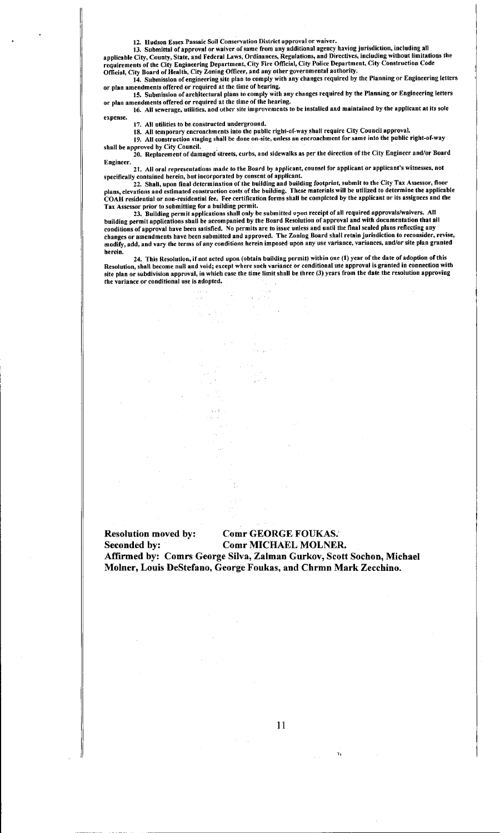12. Hudson Essex Passaic Soil Conservation District approval or waiver.

13. Submittal of approval or waiver of same from any additional agency having jurisdiction, including all applicable City, County, State, and Federal Laws, Ordinances, Regulations, and Directives, including without limitations the requirements of the City Engineering Department, City Fire Official, City Police Department, City Construction Code Official, City Board of Health, City Zoning Officer, and any other governmental authority.

14. Submission of engineering site plan to comply with any changes required by the Planning or Engineering letters or plan amendments offered or required at the time of hearing.

IS. Submission of architectural plans to comply with any changes required by the Planning or Engineering letters or plan amendments offered or required at the time of the hearing.

16. All sewerage, utilities, and other site improvements to be installed and maintained by the applicant at its sole expense.

 $\mathbb{R}^2$ i st

/7. All utilities to be constructed underground. 18. All temporary encroachments into the public right-of-way shall require City Council approval.

19. All construction staging shall be done on-site, unless an encroachment for same into the public right-of-way shall be approved by City Council

20. Replacement of damaged streets, curbs, and sidewalks as per the direction of the City Engineer and/or Board Engineer.

21. All oral representations made to the Board by applicant, counsel for applicant or applicant's witnesses, not specifically contained herein, but incorporated by consent of applicant.

22. Shall, upon final determination of the building and building footprint, submit to the City Tax Assessor, floor plans, elevations and estimated construction costs of the building. These materials will be utilized to determine the applicable COAH residential or non-residential fee. Fee certification forms shall be completed by the applicant or its assignees and the Tax Assessor prior to submitting for a building permit.

23. Building permit applications shall only be submitted upon receipt of all required approvals/waivers. All building permit applications shall be accompanied by the Board Resolution of approval and with documentation that all conditions of approval have been satisfied. No permits are to issue unless and until the final sealed plans reflecting any changes or amendments have been submitted and approved. The Zoning Board shall retain jurisdiction to reconsider, revise, modify, add, and vary the terms of any conditions herein imposed upon any use variance, variances, and/or site plan granted herein.

24. This Resolution, if not acted upon (obtain building permit) within one (1) year of the date of adoption of this Resolution, shall become null and void; except where such variance or conditional use approval is granted in connection with site plan or subdivision approval, in which case the time limit shall be three (3) years from the date the resolution approving the variance or conditional use is adopted.

# Resolution moved by: Comr GEORGE FOUKAS.' Seconded by: Comr MICHAEL MOLNER.

Affirmed by: Comrs George Silva, Zalman Gurkov, Scott Sochon, Michael Molner, Louis DeStefano, George Foukas, and Chrmn Mark Zecchino.

Y.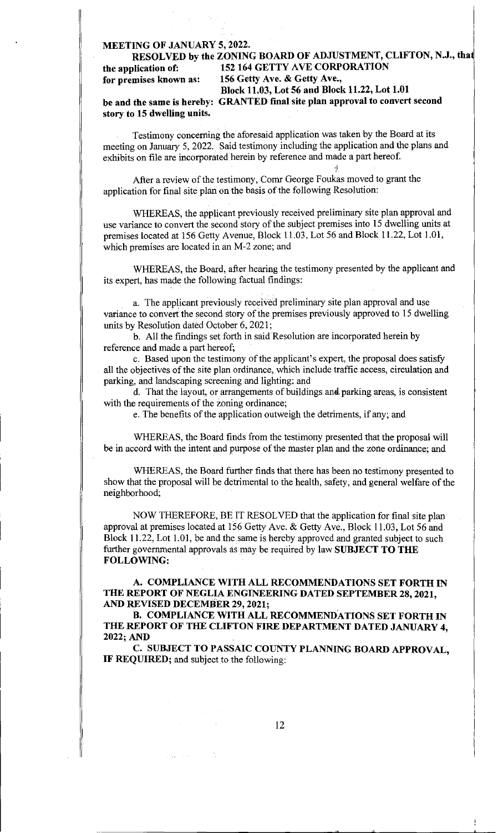## MEETING OF JANUARY 5, 2022.

# RESOLVED by the ZONING BOARD OF ADJUSTMENT, CLIFTON, N.J., tha the application of: 152 164 GETTY AVE CORPORATION<br>for premises known as: 156 Getty Ave. & Getty Ave., 156 Getty Ave. & Getty Ave., Block 11.03, Lot 56 and Block 11.22, Lot 1.01

be and the same is hereby: GRANTED final site plan approval to convert second story to 15 dwelling units.

Testimony concerning the aforesaid application was taken by the Board at its meeting on January 5, 2022. Said testimony including the application and the plans and exhibits on file are incorporated herein by reference and made a part hereof.

After a review of the testimony, Comr George Foukas moved to grant the application for final site plan on the basis of the following Resolution:

WHEREAS, the applicant previously received preliminary site plan approval and use variance to convert the second story of the subject premises into 15 dwelling units at premises located at 156 Getty Avenue, Block 11.03, Lot 56 and Block 11.22, Lot 1.01, which premises are located in an M-2 zone; and

WHEREAS, the Board, after hearing the testimony presented by the applicant and its expert, has made the following factual findings:

a. The applicant previously received preliminary site plan approval and use variance to convert the second story of the premises previously approved to 15 dwelling units by Resolution dated October 6, 2021;

b. All the findings set forth in said Resolution are incorporated herein by reference and made a part hereof;

c. Based upon the testimony of the applicant's expert, the proposal does satisfy all the objectives of the site plan ordinance, which include traffic access, circulation and parking, and landscaping screening and lighting; and

d. That the layout, or arrangements of buildings and parking areas, is consistent with the requirements of the zoning ordinance;

e. The benefits of the application outweigh the detriments, if any; and

WHEREAS, the Board finds from the testimony presented that the proposal will be in accord with the intent and purpose of the master plan and the zone ordinance; and

WHEREAS, the Board further finds that there has been no testimony presented to show that the proposal will be detrimental to the health, safety, and general welfare of the neighborhood;

NOW THEREFORE, BE IT RESOLVED that the application for final site plan approval at premises located at 156 Getty Ave. & Getty Ave., Block 11.03, Lot 56 and Block 11.22, Lot 1.01, be and the same is hereby approved and granted subject to such further governmental approvals as may be required by law **SUBJECT TO THE** FOLLOWING:

A. COMPLIANCE WITH ALL RECOMMENDATIONS SET FORTH IN THE REPORT OF NEGLIA ENGINEERING DATED SEPTEMBER 28, 2021, AND REVISED DECEMBER 29, 2021;

B. COMPLIANCE WITH ALL RECOMMENDATIONS SET FORTH IN THE REPORT OF THE CLIFTON FIRE DEPARTMENT DATED JANUARY 4, 2022; AND

C. SUBJECT TO PASSAIC COUNTY PLANNING BOARD APPROVAL, IF REQUIRED; and subject to the following: